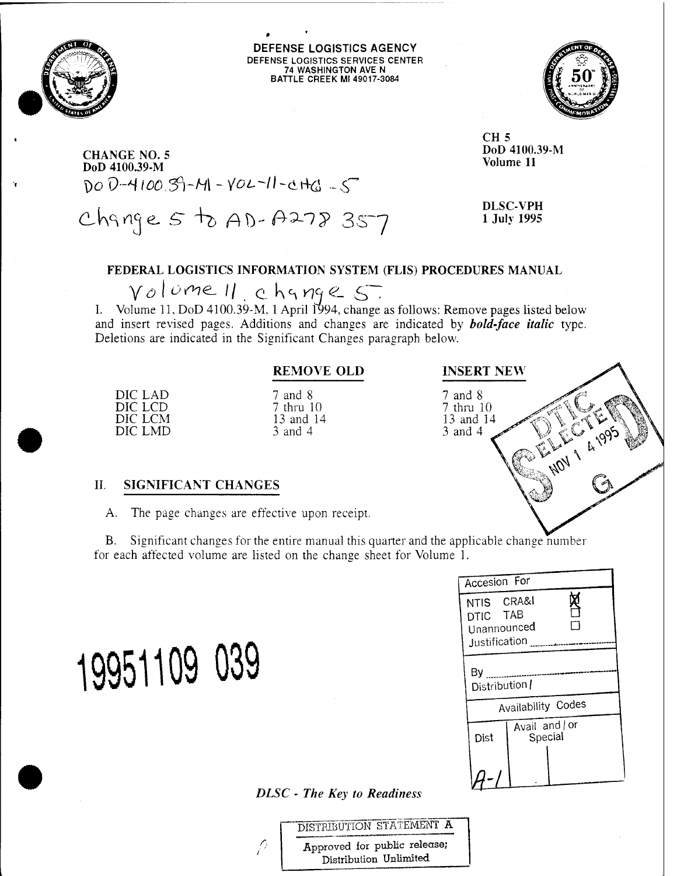

DEFENSE LOGISTICS AGENCY DEFENSE LOGISTICS SERVICES CENTER 74 WASHINGTON AVE N BATTLE CREEK Ml 49017-3084



**CHANGE NO. 5 DoD 4100.39-M** \)o *V~\*i looS)~H\* - *VOL-Ii*-di4^ <sup>~</sup> <T

Change 5 to AD-A278 357

**DLSC-VPH <sup>1</sup> July 1995**

**DoD 4100.39-M Volume 11**

**CH 5**

#### **FEDERAL LOGISTICS INFORMATION SYSTEM (FLIS) PROCEDURES MANUAL**

 $\gamma$ *o* lume 11 c hange 5.

**I.** Volume 11, DoD 4100.39-M. <sup>1</sup> April 1994, change as follows: Remove pages listed below and insert revised pages. Additions and changes are indicated by *bold-face italic* type. Deletions are indicated in the Significant Changes paragraph below.

#### **REMOVE OLD**

DIC LAD DIC LCD DIC LCM DIC LMD 7 and 8 7 thru 10 13 and 14 3 and 4

# **INSERT NEW**

7 and 8  $7$  thru  $10$ 13 and 14 **ANDY 1 4995** 3 and 4

#### **II. SIGNIFICANT CHANGES**

**19951109**

A. The page changes are effective upon receipt.

B. Significant changes for the entire manual this quarter and the applicable change number for each affected volume are listed on the change sheet for Volume 1.

| Accesion For                                           |                           |  |
|--------------------------------------------------------|---------------------------|--|
| NTIS CRA&I<br>DTIC TAB<br>Unannounced<br>Justification |                           |  |
| Вy<br>Distribution /                                   |                           |  |
|                                                        | Availability Codes        |  |
| Dist                                                   | Avail and   or<br>Special |  |
|                                                        |                           |  |

*DLSC - The Key to Readiness*

DISTRIBUTION STATEMENT A Approved for public release; Distribution Unlimited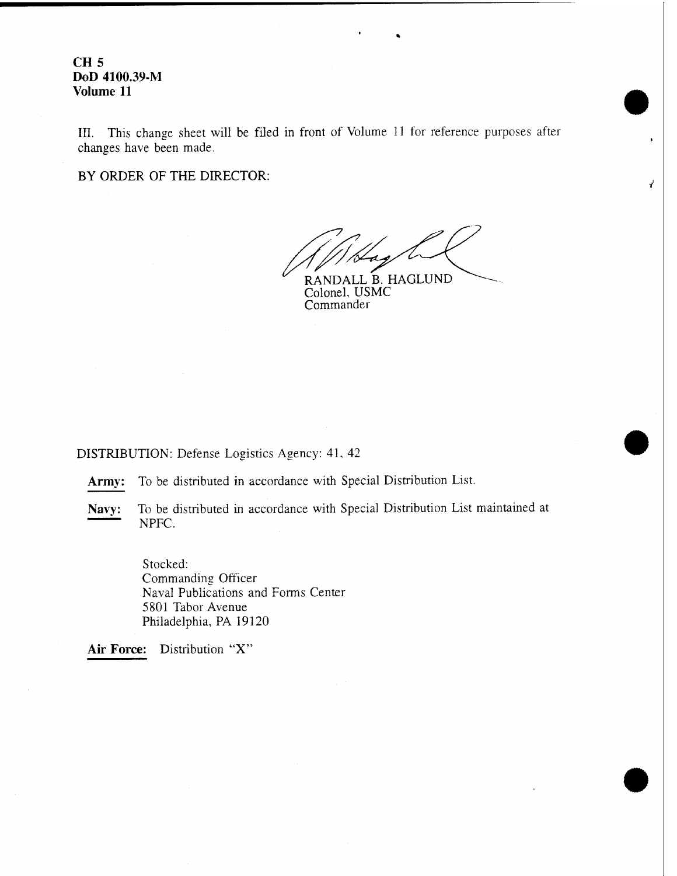III. This change sheet will be filed in front of Volume 11 for reference purposes after changes have been made.

BY ORDER OF THE DIRECTOR:

RANDALL B. HAGLUND

Colonel, USMC Commander

DISTRIBUTION: Defense Logistics Agency: 41, 42

**Army:** To be distributed in accordance with Special Distribution List.

**Navy:** To be distributed in accordance with Special Distribution List maintained at NPFC.

> Stocked: Commanding Officer Naval Publications and Forms Center 5801 Tabor Avenue Philadelphia, PA 19120

**Air Force:** Distribution "X"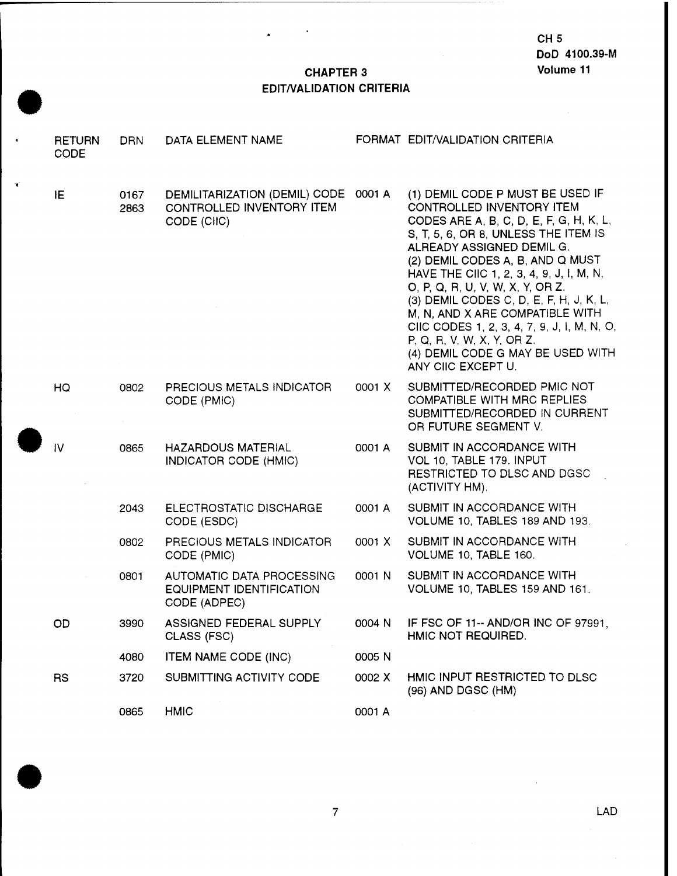#### **CHAPTER 3 EDIT/VALIDATION CRITERIA**

 $\ddot{\phantom{a}}$ 

¥

| <b>RETURN</b><br><b>CODE</b> | <b>DRN</b>   | DATA ELEMENT NAME                                                                |        | FORMAT EDIT/VALIDATION CRITERIA                                                                                                                                                                                                                                                                                                                                                                                                                                                                                         |
|------------------------------|--------------|----------------------------------------------------------------------------------|--------|-------------------------------------------------------------------------------------------------------------------------------------------------------------------------------------------------------------------------------------------------------------------------------------------------------------------------------------------------------------------------------------------------------------------------------------------------------------------------------------------------------------------------|
| IE                           | 0167<br>2863 | DEMILITARIZATION (DEMIL) CODE 0001 A<br>CONTROLLED INVENTORY ITEM<br>CODE (CIIC) |        | (1) DEMIL CODE P MUST BE USED IF<br>CONTROLLED INVENTORY ITEM<br>CODES ARE A, B, C, D, E, F, G, H, K, L,<br>S, T, 5, 6, OR 8, UNLESS THE ITEM IS<br>ALREADY ASSIGNED DEMIL G.<br>(2) DEMIL CODES A, B, AND Q MUST<br>HAVE THE CIIC 1, 2, 3, 4, 9, J, I, M, N,<br>O, P, Q, R, U, V, W, X, Y, OR Z.<br>(3) DEMIL CODES C, D, E, F, H, J, K, L,<br>M, N, AND X ARE COMPATIBLE WITH<br>CIIC CODES 1, 2, 3, 4, 7, 9, J, I, M, N, O,<br>P, Q, R, V, W, X, Y, OR Z.<br>(4) DEMIL CODE G MAY BE USED WITH<br>ANY CIIC EXCEPT U. |
| HQ                           | 0802         | PRECIOUS METALS INDICATOR<br>CODE (PMIC)                                         | 0001 X | SUBMITTED/RECORDED PMIC NOT<br><b>COMPATIBLE WITH MRC REPLIES</b><br>SUBMITTED/RECORDED IN CURRENT<br>OR FUTURE SEGMENT V.                                                                                                                                                                                                                                                                                                                                                                                              |
| $\mathsf{IV}$                | 0865         | <b>HAZARDOUS MATERIAL</b><br>INDICATOR CODE (HMIC)                               | 0001 A | SUBMIT IN ACCORDANCE WITH<br>VOL 10, TABLE 179. INPUT<br>RESTRICTED TO DLSC AND DGSC<br>(ACTIVITY HM).                                                                                                                                                                                                                                                                                                                                                                                                                  |
|                              | 2043         | ELECTROSTATIC DISCHARGE<br>CODE (ESDC)                                           | 0001 A | SUBMIT IN ACCORDANCE WITH<br>VOLUME 10, TABLES 189 AND 193.                                                                                                                                                                                                                                                                                                                                                                                                                                                             |
|                              | 0802         | PRECIOUS METALS INDICATOR<br>CODE (PMIC)                                         | 0001 X | SUBMIT IN ACCORDANCE WITH<br>VOLUME 10, TABLE 160.                                                                                                                                                                                                                                                                                                                                                                                                                                                                      |
|                              | 0801         | AUTOMATIC DATA PROCESSING<br>EQUIPMENT IDENTIFICATION<br>CODE (ADPEC)            | 0001 N | SUBMIT IN ACCORDANCE WITH<br>VOLUME 10, TABLES 159 AND 161.                                                                                                                                                                                                                                                                                                                                                                                                                                                             |
| OD                           | 3990         | ASSIGNED FEDERAL SUPPLY<br>CLASS (FSC)                                           | 0004 N | IF FSC OF 11-- AND/OR INC OF 97991,<br>HMIC NOT REQUIRED.                                                                                                                                                                                                                                                                                                                                                                                                                                                               |
|                              | 4080         | <b>ITEM NAME CODE (INC)</b>                                                      | 0005 N |                                                                                                                                                                                                                                                                                                                                                                                                                                                                                                                         |
| <b>RS</b>                    | 3720         | SUBMITTING ACTIVITY CODE                                                         | 0002 X | HMIC INPUT RESTRICTED TO DLSC<br>(96) AND DGSC (HM)                                                                                                                                                                                                                                                                                                                                                                                                                                                                     |
|                              | 0865         | <b>HMIC</b>                                                                      | 0001 A |                                                                                                                                                                                                                                                                                                                                                                                                                                                                                                                         |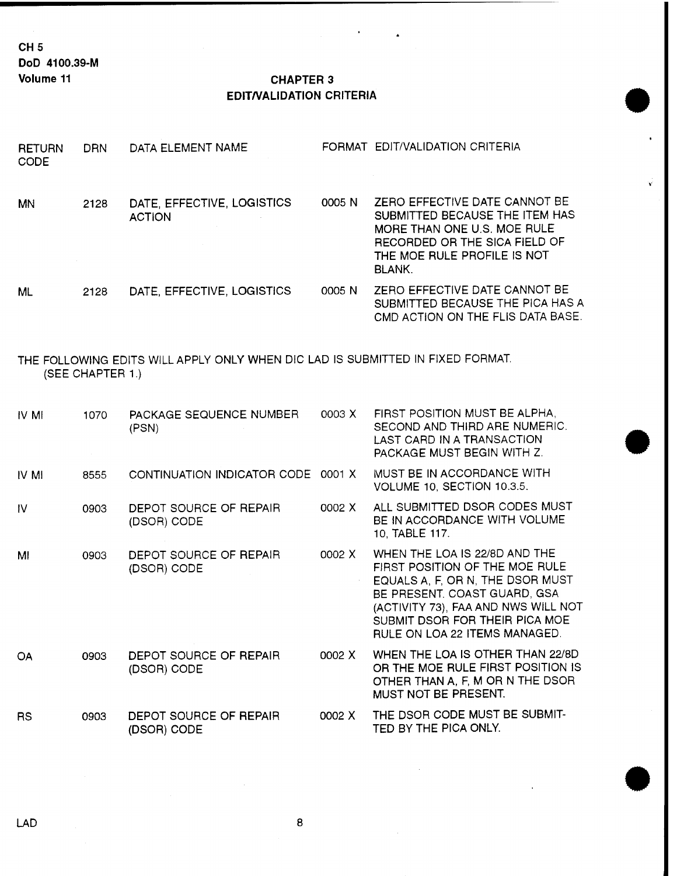**CH5 DoD 4100.39-M**

#### **Volume <sup>11</sup> CHAPTER 3 EDIT/VALIDATION CRITERIA**

 $\overline{a}$ 

| <b>RETURN</b><br><b>CODE</b>                                                                       | <b>DRN</b> | DATA ELEMENT NAME                           |        | FORMAT EDIT/VALIDATION CRITERIA                                                                                                                                                                                                               |  |
|----------------------------------------------------------------------------------------------------|------------|---------------------------------------------|--------|-----------------------------------------------------------------------------------------------------------------------------------------------------------------------------------------------------------------------------------------------|--|
| <b>MN</b>                                                                                          | 2128       | DATE, EFFECTIVE, LOGISTICS<br><b>ACTION</b> | 0005 N | ZERO EFFECTIVE DATE CANNOT BE<br>SUBMITTED BECAUSE THE ITEM HAS<br>MORE THAN ONE U.S. MOE RULE<br>RECORDED OR THE SICA FIELD OF<br>THE MOE RULE PROFILE IS NOT<br>BLANK.                                                                      |  |
| <b>ML</b>                                                                                          | 2128       | DATE, EFFECTIVE, LOGISTICS                  | 0005 N | ZERO EFFECTIVE DATE CANNOT BE<br>SUBMITTED BECAUSE THE PICA HAS A<br>CMD ACTION ON THE FLIS DATA BASE.                                                                                                                                        |  |
| THE FOLLOWING EDITS WILL APPLY ONLY WHEN DIC LAD IS SUBMITTED IN FIXED FORMAT.<br>(SEE CHAPTER 1.) |            |                                             |        |                                                                                                                                                                                                                                               |  |
| IV MI                                                                                              | 1070       | PACKAGE SEQUENCE NUMBER<br>(PSN)            | 0003 X | FIRST POSITION MUST BE ALPHA,<br>SECOND AND THIRD ARE NUMERIC.<br>LAST CARD IN A TRANSACTION<br>PACKAGE MUST BEGIN WITH Z.                                                                                                                    |  |
| IV MI                                                                                              | 8555       | CONTINUATION INDICATOR CODE 0001 X          |        | MUST BE IN ACCORDANCE WITH<br>VOLUME 10, SECTION 10.3.5.                                                                                                                                                                                      |  |
| IV.                                                                                                | 0903       | DEPOT SOURCE OF REPAIR<br>(DSOR) CODE       | 0002 X | ALL SUBMITTED DSOR CODES MUST<br>BE IN ACCORDANCE WITH VOLUME<br>10, TABLE 117.                                                                                                                                                               |  |
| MI                                                                                                 | 0903       | DEPOT SOURCE OF REPAIR<br>(DSOR) CODE       | 0002 X | WHEN THE LOA IS 22/8D AND THE<br>FIRST POSITION OF THE MOE RULE<br>EQUALS A, F, OR N, THE DSOR MUST<br>BE PRESENT. COAST GUARD, GSA<br>(ACTIVITY 73), FAA AND NWS WILL NOT<br>SUBMIT DSOR FOR THEIR PICA MOE<br>RULE ON LOA 22 ITEMS MANAGED. |  |
| <b>OA</b>                                                                                          | 0903       | DEPOT SOURCE OF REPAIR<br>(DSOR) CODE       | 0002 X | WHEN THE LOA IS OTHER THAN 22/8D<br>OR THE MOE RULE FIRST POSITION IS<br>OTHER THAN A, F, M OR N THE DSOR<br>MUST NOT BE PRESENT.                                                                                                             |  |
| <b>RS</b>                                                                                          | 0903       | DEPOT SOURCE OF REPAIR<br>(DSOR) CODE       | 0002 X | THE DSOR CODE MUST BE SUBMIT-<br>TED BY THE PICA ONLY.                                                                                                                                                                                        |  |

 $\bf 8$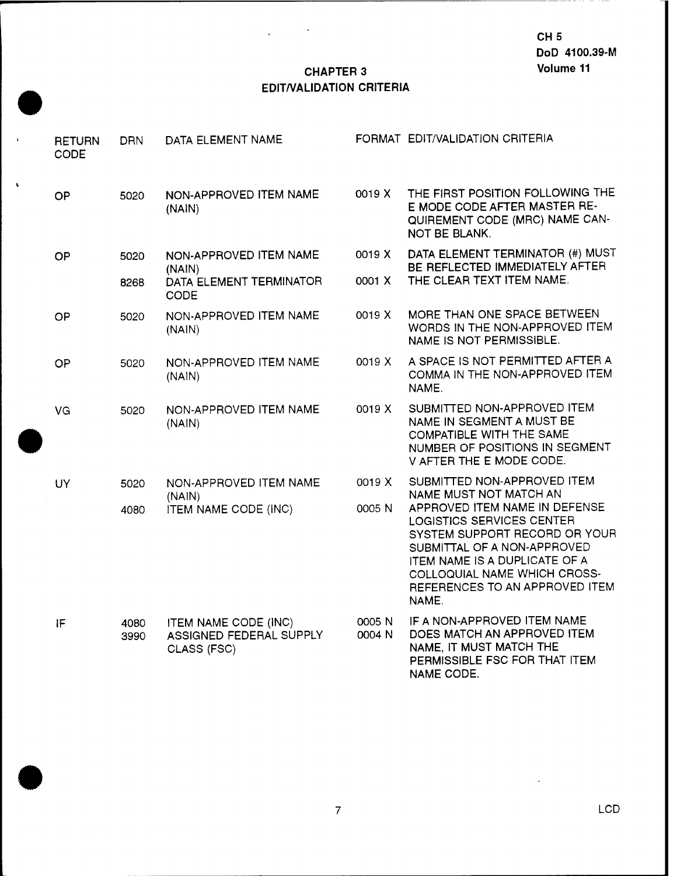#### **CHAPTER 3 EDIT/VALIDATION CRITERIA**

s.

| <b>RETURN</b><br><b>CODE</b> | <b>DRN</b>   | DATA ELEMENT NAME                                                     |                  | FORMAT EDIT/VALIDATION CRITERIA                                                                                                                                                                                                        |
|------------------------------|--------------|-----------------------------------------------------------------------|------------------|----------------------------------------------------------------------------------------------------------------------------------------------------------------------------------------------------------------------------------------|
| OP                           | 5020         | NON-APPROVED ITEM NAME<br>(NAIN)                                      | 0019 X           | THE FIRST POSITION FOLLOWING THE<br>E MODE CODE AFTER MASTER RE-<br>QUIREMENT CODE (MRC) NAME CAN-<br><b>NOT BE BLANK.</b>                                                                                                             |
| OP                           | 5020         | NON-APPROVED ITEM NAME<br>(NAIN)                                      | 0019 X           | DATA ELEMENT TERMINATOR (#) MUST<br>BE REFLECTED IMMEDIATELY AFTER                                                                                                                                                                     |
|                              | 8268         | DATA ELEMENT TERMINATOR<br><b>CODE</b>                                | 0001 X           | THE CLEAR TEXT ITEM NAME.                                                                                                                                                                                                              |
| OP                           | 5020         | NON-APPROVED ITEM NAME<br>(NAIN)                                      | 0019 X           | MORE THAN ONE SPACE BETWEEN<br>WORDS IN THE NON-APPROVED ITEM<br>NAME IS NOT PERMISSIBLE.                                                                                                                                              |
| OP                           | 5020         | NON-APPROVED ITEM NAME<br>(NAIN)                                      | 0019 X           | A SPACE IS NOT PERMITTED AFTER A<br>COMMA IN THE NON-APPROVED ITEM<br>NAME.                                                                                                                                                            |
| VG                           | 5020         | NON-APPROVED ITEM NAME<br>(NAIN)                                      | 0019 X           | SUBMITTED NON-APPROVED ITEM<br>NAME IN SEGMENT A MUST BE<br>COMPATIBLE WITH THE SAME<br>NUMBER OF POSITIONS IN SEGMENT<br>V AFTER THE E MODE CODE.                                                                                     |
| <b>UY</b>                    | 5020         | NON-APPROVED ITEM NAME<br>(NAIN)                                      | 0019 X           | SUBMITTED NON-APPROVED ITEM<br>NAME MUST NOT MATCH AN                                                                                                                                                                                  |
|                              | 4080         | ITEM NAME CODE (INC)                                                  | 0005 N           | APPROVED ITEM NAME IN DEFENSE<br>LOGISTICS SERVICES CENTER<br>SYSTEM SUPPORT RECORD OR YOUR<br>SUBMITTAL OF A NON-APPROVED<br>ITEM NAME IS A DUPLICATE OF A<br>COLLOQUIAL NAME WHICH CROSS-<br>REFERENCES TO AN APPROVED ITEM<br>NAME. |
| IF                           | 4080<br>3990 | <b>ITEM NAME CODE (INC)</b><br>ASSIGNED FEDERAL SUPPLY<br>CLASS (FSC) | 0005 N<br>0004 N | IF A NON-APPROVED ITEM NAME<br>DOES MATCH AN APPROVED ITEM<br>NAME, IT MUST MATCH THE<br>PERMISSIBLE FSC FOR THAT ITEM<br><b>NAME CODE.</b>                                                                                            |

 $\overline{7}$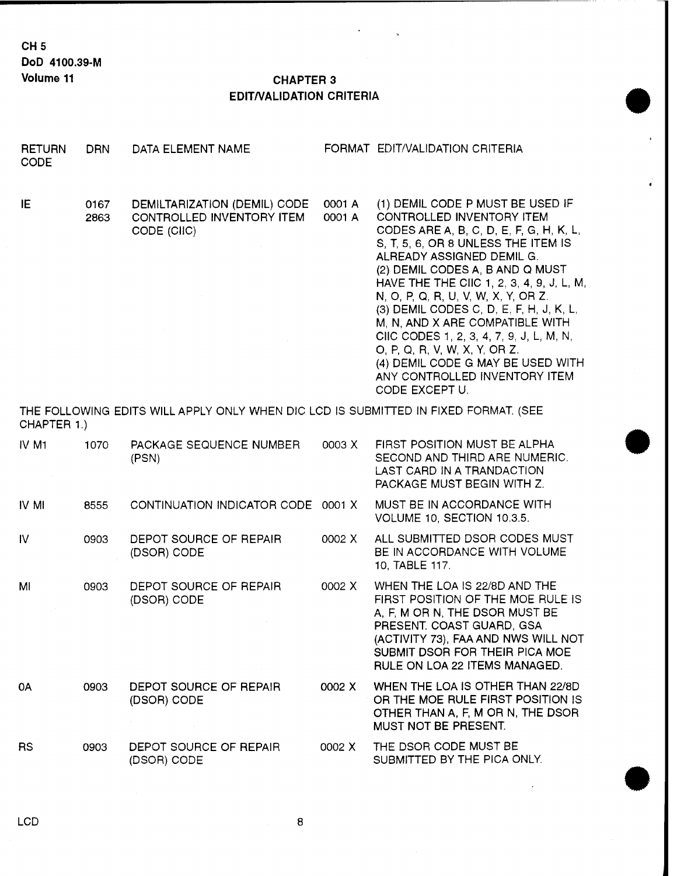**CH5 DoD 4100.39-M**

#### **Volume <sup>11</sup> CHAPTER 3 EDIT/VALIDATION CRITERIA**

.

,

 $\mathbf{r}$ 

| <b>RETURN</b><br><b>CODE</b> | <b>DRN</b>   | DATA ELEMENT NAME                                                                   |                  | FORMAT EDIT/VALIDATION CRITERIA                                                                                                                                                                                                                                                                                                                                                                                                                                                                                                                        |
|------------------------------|--------------|-------------------------------------------------------------------------------------|------------------|--------------------------------------------------------------------------------------------------------------------------------------------------------------------------------------------------------------------------------------------------------------------------------------------------------------------------------------------------------------------------------------------------------------------------------------------------------------------------------------------------------------------------------------------------------|
| IE.                          | 0167<br>2863 | DEMILTARIZATION (DEMIL) CODE<br>CONTROLLED INVENTORY ITEM<br>CODE (CIIC)            | 0001 A<br>0001 A | (1) DEMIL CODE P MUST BE USED IF<br>CONTROLLED INVENTORY ITEM<br>CODES ARE A, B, C, D, E, F, G, H, K, L,<br>S, T, 5, 6, OR 8 UNLESS THE ITEM IS<br>ALREADY ASSIGNED DEMIL G.<br>(2) DEMIL CODES A, B AND Q MUST<br>HAVE THE THE CIIC 1, 2, 3, 4, 9, J, L, M,<br>N, O, P, Q, R, U, V, W, X, Y, OR Z.<br>(3) DEMIL CODES C, D, E, F, H, J, K, L,<br>M, N, AND X ARE COMPATIBLE WITH<br>CIIC CODES 1, 2, 3, 4, 7, 9, J, L, M, N,<br>O, P, Q, R, V, W, X, Y, OR Z.<br>(4) DEMIL CODE G MAY BE USED WITH<br>ANY CONTROLLED INVENTORY ITEM<br>CODE EXCEPT U. |
| CHAPTER 1.)                  |              | THE FOLLOWING EDITS WILL APPLY ONLY WHEN DIC LCD IS SUBMITTED IN FIXED FORMAT. (SEE |                  |                                                                                                                                                                                                                                                                                                                                                                                                                                                                                                                                                        |
| IV M1                        | 1070         | PACKAGE SEQUENCE NUMBER<br>(PSN)                                                    | 0003 X           | FIRST POSITION MUST BE ALPHA<br>SECOND AND THIRD ARE NUMERIC.<br>LAST CARD IN A TRANDACTION<br>PACKAGE MUST BEGIN WITH Z.                                                                                                                                                                                                                                                                                                                                                                                                                              |
| IV MI                        | 8555         | CONTINUATION INDICATOR CODE                                                         | 0001 X           | MUST BE IN ACCORDANCE WITH<br>VOLUME 10, SECTION 10.3.5.                                                                                                                                                                                                                                                                                                                                                                                                                                                                                               |
| <b>IV</b>                    | 0903         | DEPOT SOURCE OF REPAIR<br>(DSOR) CODE                                               | 0002 X           | ALL SUBMITTED DSOR CODES MUST<br>BE IN ACCORDANCE WITH VOLUME<br>10, TABLE 117.                                                                                                                                                                                                                                                                                                                                                                                                                                                                        |
| MI                           | 0903         | DEPOT SOURCE OF REPAIR<br>(DSOR) CODE                                               | 0002 X           | WHEN THE LOA IS 22/8D AND THE<br>FIRST POSITION OF THE MOE RULE IS<br>A, F, M OR N, THE DSOR MUST BE<br>PRESENT. COAST GUARD, GSA<br>(ACTIVITY 73), FAA AND NWS WILL NOT<br>SUBMIT DSOR FOR THEIR PICA MOE<br><b>RULE ON LOA 22 ITEMS MANAGED.</b>                                                                                                                                                                                                                                                                                                     |
| 0A                           | 0903         | DEPOT SOURCE OF REPAIR<br>(DSOR) CODE                                               | 0002 X           | WHEN THE LOA IS OTHER THAN 22/8D<br>OR THE MOE RULE FIRST POSITION IS<br>OTHER THAN A, F, M OR N, THE DSOR<br>MUST NOT BE PRESENT.                                                                                                                                                                                                                                                                                                                                                                                                                     |
| <b>RS</b>                    | 0903         | DEPOT SOURCE OF REPAIR<br>(DSOR) CODE                                               | 0002 X           | THE DSOR CODE MUST BE<br>SUBMITTED BY THE PICA ONLY.                                                                                                                                                                                                                                                                                                                                                                                                                                                                                                   |

 $\bf 8$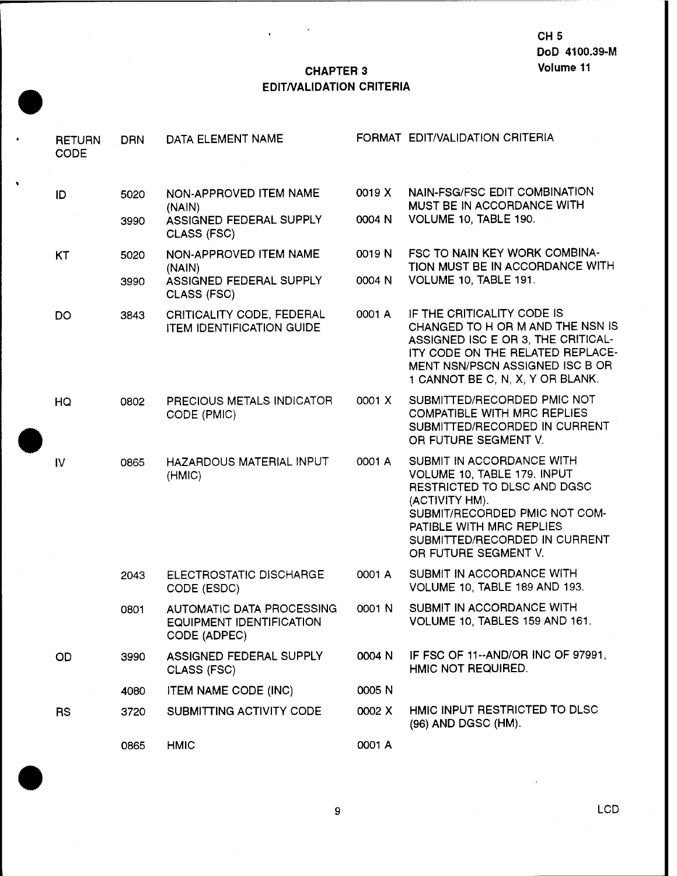### **CHAPTER 3 EDIT/VALIDATION CRITERIA**

,

 $\bar{\mathbf{r}}$ 

 $\bullet$ 

| <b>RETURN</b><br><b>CODE</b> | <b>DRN</b> | DATA ELEMENT NAME                                                            |        | FORMAT EDIT/VALIDATION CRITERIA                                                                                                                                                                                                 |
|------------------------------|------------|------------------------------------------------------------------------------|--------|---------------------------------------------------------------------------------------------------------------------------------------------------------------------------------------------------------------------------------|
| ID                           | 5020       | NON-APPROVED ITEM NAME<br>(NAIN)                                             | 0019 X | NAIN-FSG/FSC EDIT COMBINATION<br>MUST BE IN ACCORDANCE WITH                                                                                                                                                                     |
|                              | 3990       | ASSIGNED FEDERAL SUPPLY<br>CLASS (FSC)                                       | 0004 N | VOLUME 10, TABLE 190.                                                                                                                                                                                                           |
| KT                           | 5020       | NON-APPROVED ITEM NAME<br>(NAIN)                                             | 0019 N | FSC TO NAIN KEY WORK COMBINA-<br>TION MUST BE IN ACCORDANCE WITH                                                                                                                                                                |
|                              | 3990       | ASSIGNED FEDERAL SUPPLY<br>CLASS (FSC)                                       | 0004 N | VOLUME 10, TABLE 191.                                                                                                                                                                                                           |
| DO                           | 3843       | CRITICALITY CODE, FEDERAL<br><b>ITEM IDENTIFICATION GUIDE</b>                | 0001 A | IF THE CRITICALITY CODE IS<br>CHANGED TO H OR M AND THE NSN IS<br>ASSIGNED ISC E OR 3, THE CRITICAL-<br>ITY CODE ON THE RELATED REPLACE-<br>MENT NSN/PSCN ASSIGNED ISC B OR<br>1 CANNOT BE C, N, X, Y OR BLANK.                 |
| HQ                           | 0802       | PRECIOUS METALS INDICATOR<br>CODE (PMIC)                                     | 0001 X | SUBMITTED/RECORDED PMIC NOT<br><b>COMPATIBLE WITH MRC REPLIES</b><br>SUBMITTED/RECORDED IN CURRENT<br>OR FUTURE SEGMENT V.                                                                                                      |
| IV.                          | 0865       | HAZARDOUS MATERIAL INPUT<br>(HMIC)                                           | 0001 A | SUBMIT IN ACCORDANCE WITH<br>VOLUME 10, TABLE 179. INPUT<br>RESTRICTED TO DLSC AND DGSC<br>(ACTIVITY HM).<br>SUBMIT/RECORDED PMIC NOT COM-<br>PATIBLE WITH MRC REPLIES<br>SUBMITTED/RECORDED IN CURRENT<br>OR FUTURE SEGMENT V. |
|                              | 2043       | ELECTROSTATIC DISCHARGE<br>CODE (ESDC)                                       | 0001 A | SUBMIT IN ACCORDANCE WITH<br>VOLUME 10, TABLE 189 AND 193.                                                                                                                                                                      |
|                              | 0801       | <b>AUTOMATIC DATA PROCESSING</b><br>EQUIPMENT IDENTIFICATION<br>CODE (ADPEC) | 0001 N | SUBMIT IN ACCORDANCE WITH<br>VOLUME 10, TABLES 159 AND 161.                                                                                                                                                                     |
| <b>OD</b>                    | 3990       | ASSIGNED FEDERAL SUPPLY<br>CLASS (FSC)                                       | 0004 N | IF FSC OF 11--AND/OR INC OF 97991,<br>HMIC NOT REQUIRED.                                                                                                                                                                        |
|                              | 4080       | <b>ITEM NAME CODE (INC)</b>                                                  | 0005 N |                                                                                                                                                                                                                                 |
| <b>RS</b>                    | 3720       | SUBMITTING ACTIVITY CODE                                                     | 0002 X | HMIC INPUT RESTRICTED TO DLSC<br>(96) AND DGSC (HM).                                                                                                                                                                            |
|                              | 0865       | <b>HMIC</b>                                                                  | 0001 A |                                                                                                                                                                                                                                 |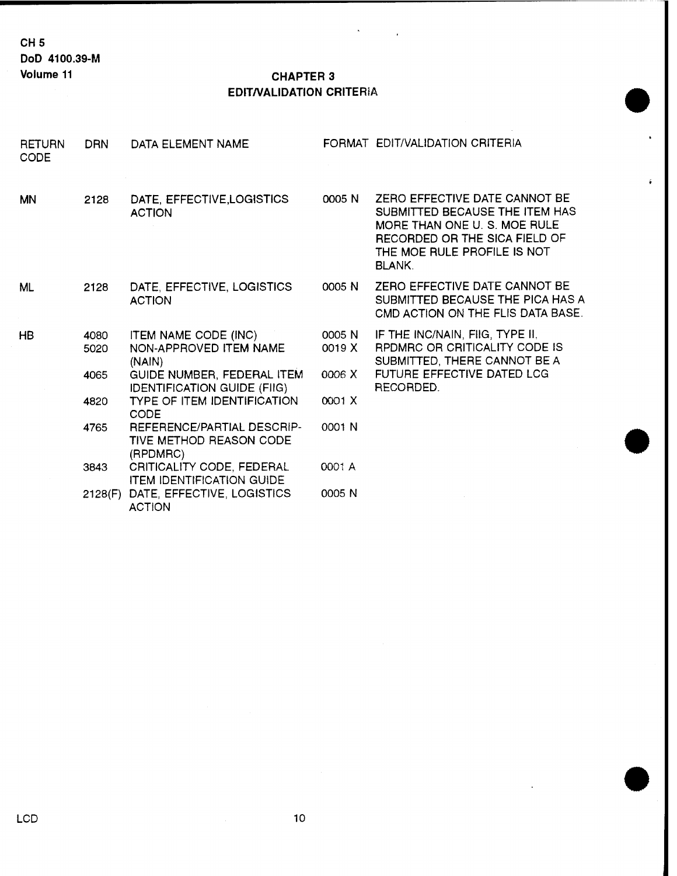#### **Volume <sup>11</sup> CHAPTER 3 EDIT/VALIDATION** CRITERIA

 $\ddot{\phantom{a}}$ 

| <b>RETURN</b><br><b>CODE</b> | <b>DRN</b>   | DATA ELEMENT NAME                                                               |                  | FORMAT EDIT/VALIDATION CRITERIA                                                                                                                                                  |
|------------------------------|--------------|---------------------------------------------------------------------------------|------------------|----------------------------------------------------------------------------------------------------------------------------------------------------------------------------------|
| <b>MN</b>                    | 2128         | DATE, EFFECTIVE, LOGISTICS<br><b>ACTION</b>                                     | 0005 N           | ZERO EFFECTIVE DATE CANNOT BE<br>SUBMITTED BECAUSE THE ITEM HAS<br>MORE THAN ONE U. S. MOE RULE<br>RECORDED OR THE SICA FIELD OF<br>THE MOE RULE PROFILE IS NOT<br><b>BLANK.</b> |
| ML                           | 2128         | DATE, EFFECTIVE, LOGISTICS<br><b>ACTION</b>                                     | 0005 N           | ZERO EFFECTIVE DATE CANNOT BE<br>SUBMITTED BECAUSE THE PICA HAS A<br>CMD ACTION ON THE FLIS DATA BASE.                                                                           |
| <b>HB</b>                    | 4080<br>5020 | <b>ITEM NAME CODE (INC)</b><br>NON-APPROVED ITEM NAME<br>(NAIN)                 | 0005 N<br>0019 X | IF THE INC/NAIN, FIIG, TYPE II,<br><b>RPDMRC OR CRITICALITY CODE IS</b><br>SUBMITTED, THERE CANNOT BE A                                                                          |
|                              | 4065         | GUIDE NUMBER, FEDERAL ITEM<br><b>IDENTIFICATION GUIDE (FIIG)</b>                | 0006 X           | FUTURE EFFECTIVE DATED LCG<br>RECORDED.                                                                                                                                          |
|                              | 4820         | <b>TYPE OF ITEM IDENTIFICATION</b><br><b>CODE</b>                               | 0001 X           |                                                                                                                                                                                  |
|                              | 4765         | <b>REFERENCE/PARTIAL DESCRIP-</b><br><b>TIVE METHOD REASON CODE</b><br>(RPDMRC) | 0001 N           |                                                                                                                                                                                  |
|                              | 3843         | CRITICALITY CODE, FEDERAL<br><b>ITEM IDENTIFICATION GUIDE</b>                   | 0001 A           |                                                                                                                                                                                  |
|                              |              | 2128(F) DATE, EFFECTIVE, LOGISTICS<br><b>ACTION</b>                             | 0005 N           |                                                                                                                                                                                  |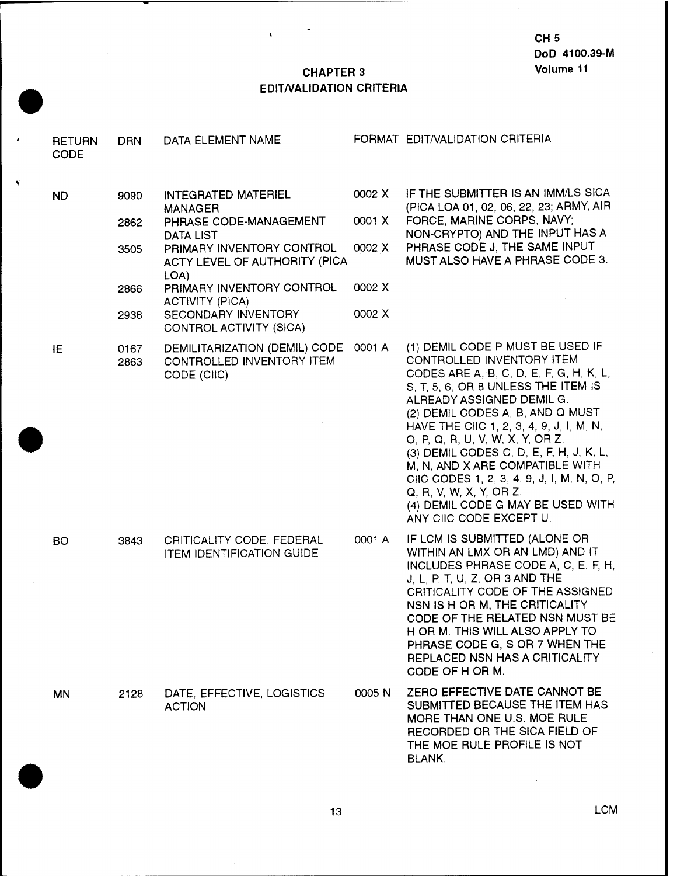#### **CHAPTER 3 EDIT/VALIDATION CRITERIA**

 $\bar{\mathbf{v}}$ 

| <b>RETURN</b><br><b>CODE</b> | <b>DRN</b>   | DATA ELEMENT NAME                                                         |        | FORMAT EDIT/VALIDATION CRITERIA                                                                                                                                                                                                                                                                                                                                                                                                                                                                                          |
|------------------------------|--------------|---------------------------------------------------------------------------|--------|--------------------------------------------------------------------------------------------------------------------------------------------------------------------------------------------------------------------------------------------------------------------------------------------------------------------------------------------------------------------------------------------------------------------------------------------------------------------------------------------------------------------------|
| ND.                          | 9090         | INTEGRATED MATERIEL                                                       | 0002 X | IF THE SUBMITTER IS AN IMM/LS SICA<br>(PICA LOA 01, 02, 06, 22, 23; ARMY, AIR                                                                                                                                                                                                                                                                                                                                                                                                                                            |
|                              | 2862         | <b>MANAGER</b><br>PHRASE CODE-MANAGEMENT<br><b>DATA LIST</b>              | 0001 X | FORCE, MARINE CORPS, NAVY;<br>NON-CRYPTO) AND THE INPUT HAS A                                                                                                                                                                                                                                                                                                                                                                                                                                                            |
|                              | 3505         | PRIMARY INVENTORY CONTROL<br>ACTY LEVEL OF AUTHORITY (PICA<br>LOA)        | 0002 X | PHRASE CODE J, THE SAME INPUT<br>MUST ALSO HAVE A PHRASE CODE 3.                                                                                                                                                                                                                                                                                                                                                                                                                                                         |
|                              | 2866         | PRIMARY INVENTORY CONTROL<br>ACTIVITY (PICA)                              | 0002 X |                                                                                                                                                                                                                                                                                                                                                                                                                                                                                                                          |
|                              | 2938         | SECONDARY INVENTORY<br>CONTROL ACTIVITY (SICA)                            | 0002 X |                                                                                                                                                                                                                                                                                                                                                                                                                                                                                                                          |
| ΙE                           | 0167<br>2863 | DEMILITARIZATION (DEMIL) CODE<br>CONTROLLED INVENTORY ITEM<br>CODE (CIIC) | 0001 A | (1) DEMIL CODE P MUST BE USED IF<br>CONTROLLED INVENTORY ITEM<br>CODES ARE A, B, C, D, E, F, G, H, K, L,<br>S, T, 5, 6, OR 8 UNLESS THE ITEM IS<br>ALREADY ASSIGNED DEMIL G.<br>(2) DEMIL CODES A, B, AND Q MUST<br>HAVE THE CIIC 1, 2, 3, 4, 9, J, I, M, N,<br>O, P, Q, R, U, V, W, X, Y, OR Z.<br>(3) DEMIL CODES C, D, E, F, H, J, K, L,<br>M, N, AND X ARE COMPATIBLE WITH<br>CIIC CODES 1, 2, 3, 4, 9, J, I, M, N, O, P,<br>Q, R, V, W, X, Y, OR Z.<br>(4) DEMIL CODE G MAY BE USED WITH<br>ANY CIIC CODE EXCEPT U. |
| BO.                          | 3843         | CRITICALITY CODE, FEDERAL<br><b>ITEM IDENTIFICATION GUIDE</b>             | 0001 A | IF LCM IS SUBMITTED (ALONE OR<br>WITHIN AN LMX OR AN LMD) AND IT<br>INCLUDES PHRASE CODE A, C, E, F, H,<br>J, L, P, T, U, Z, OR 3 AND THE<br>CRITICALITY CODE OF THE ASSIGNED<br>NSN IS H OR M, THE CRITICALITY<br>CODE OF THE RELATED NSN MUST BE<br>H OR M. THIS WILL ALSO APPLY TO<br>PHRASE CODE G, S OR 7 WHEN THE<br>REPLACED NSN HAS A CRITICALITY<br>CODE OF H OR M.                                                                                                                                             |
| <b>MN</b>                    | 2128         | DATE, EFFECTIVE, LOGISTICS<br><b>ACTION</b>                               | 0005 N | ZERO EFFECTIVE DATE CANNOT BE<br>SUBMITTED BECAUSE THE ITEM HAS<br>MORE THAN ONE U.S. MOE RULE<br>RECORDED OR THE SICA FIELD OF<br>THE MOE RULE PROFILE IS NOT<br><b>BLANK.</b>                                                                                                                                                                                                                                                                                                                                          |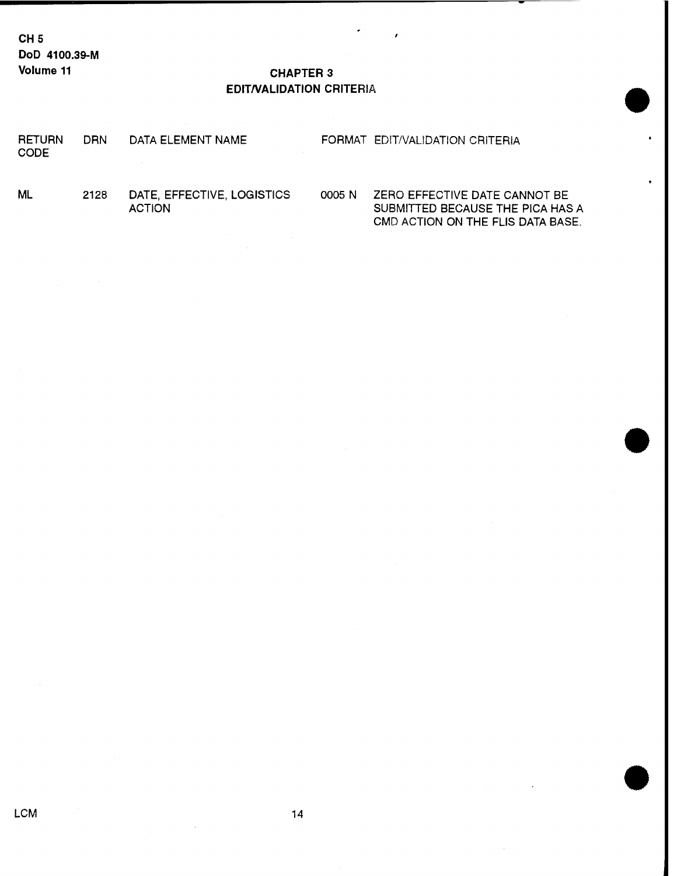**CH5 DoD 4100.39-M Volume 11 CHAPTER 3**

# **EDIT/VALIDATION** CRITERIA

| <b>RETURN</b><br><b>CODE</b> | DRN | DATA ELEMENT NAME |  | FORMAT EDIT/VALIDATION CRITERIA |  |
|------------------------------|-----|-------------------|--|---------------------------------|--|
|                              |     |                   |  |                                 |  |

ML 2128 DATE, EFFECTIVE, LOGISTICS 0005 N ZERO EFFECTIVE DATE CANNOT BE<br>ACTION ACTION SUBMITTED BECAUSE THE PICA HAS SUBMITTED BECAUSE THE PICA HAS A CMD ACTION ON THE FLIS DATA BASE.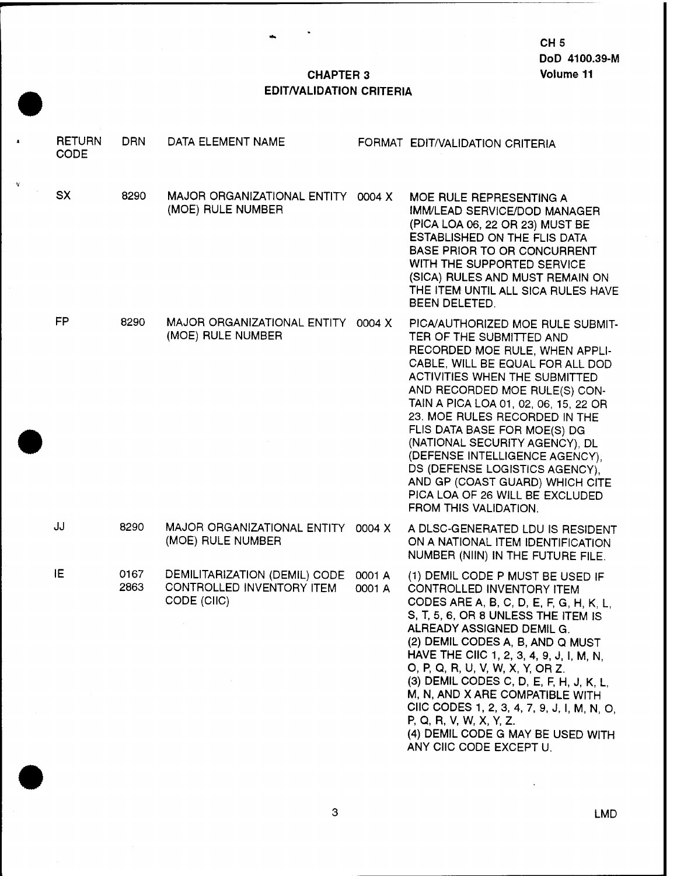# **CHAPTER 3 EDIT/VALIDATION CRITERIA**

á.

¥

| <b>RETURN</b><br><b>CODE</b> | <b>DRN</b>   | DATA ELEMENT NAME                                                         |                  | FORMAT EDIT/VALIDATION CRITERIA                                                                                                                                                                                                                                                                                                                                                                                                                                                                                          |
|------------------------------|--------------|---------------------------------------------------------------------------|------------------|--------------------------------------------------------------------------------------------------------------------------------------------------------------------------------------------------------------------------------------------------------------------------------------------------------------------------------------------------------------------------------------------------------------------------------------------------------------------------------------------------------------------------|
| <b>SX</b>                    | 8290         | MAJOR ORGANIZATIONAL ENTITY<br>(MOE) RULE NUMBER                          | 0004 X           | MOE RULE REPRESENTING A<br><b>IMM/LEAD SERVICE/DOD MANAGER</b><br>(PICA LOA 06, 22 OR 23) MUST BE<br>ESTABLISHED ON THE FLIS DATA<br><b>BASE PRIOR TO OR CONCURRENT</b><br>WITH THE SUPPORTED SERVICE<br>(SICA) RULES AND MUST REMAIN ON<br>THE ITEM UNTIL ALL SICA RULES HAVE<br>BEEN DELETED.                                                                                                                                                                                                                          |
| FP                           | 8290         | MAJOR ORGANIZATIONAL ENTITY 0004 X<br>(MOE) RULE NUMBER                   |                  | PICA/AUTHORIZED MOE RULE SUBMIT-<br>TER OF THE SUBMITTED AND<br>RECORDED MOE RULE, WHEN APPLI-<br>CABLE, WILL BE EQUAL FOR ALL DOD<br>ACTIVITIES WHEN THE SUBMITTED<br>AND RECORDED MOE RULE(S) CON-<br>TAIN A PICA LOA 01, 02, 06, 15, 22 OR<br>23. MOE RULES RECORDED IN THE<br>FLIS DATA BASE FOR MOE(S) DG<br>(NATIONAL SECURITY AGENCY), DL<br>(DEFENSE INTELLIGENCE AGENCY),<br>DS (DEFENSE LOGISTICS AGENCY),<br>AND GP (COAST GUARD) WHICH CITE<br>PICA LOA OF 26 WILL BE EXCLUDED<br>FROM THIS VALIDATION.      |
| JJ                           | 8290         | MAJOR ORGANIZATIONAL ENTITY<br>(MOE) RULE NUMBER                          | 0004 X           | A DLSC-GENERATED LDU IS RESIDENT<br>ON A NATIONAL ITEM IDENTIFICATION<br>NUMBER (NIIN) IN THE FUTURE FILE.                                                                                                                                                                                                                                                                                                                                                                                                               |
| ΙE                           | 0167<br>2863 | DEMILITARIZATION (DEMIL) CODE<br>CONTROLLED INVENTORY ITEM<br>CODE (CIIC) | 0001 A<br>0001 A | (1) DEMIL CODE P MUST BE USED IF<br>CONTROLLED INVENTORY ITEM<br>CODES ARE A, B, C, D, E, F, G, H, K, L,<br>S, T, 5, 6, OR 8 UNLESS THE ITEM IS<br>ALREADY ASSIGNED DEMIL G.<br>(2) DEMIL CODES A, B, AND Q MUST<br>HAVE THE CIIC 1, 2, 3, 4, 9, J, I, M, N,<br>O, P, Q, R, U, V, W, X, Y, OR Z.<br>(3) DEMIL CODES C, D, E, F, H, J, K, L,<br>M, N, AND X ARE COMPATIBLE WITH<br>CIIC CODES 1, 2, 3, 4, 7, 9, J, I, M, N, O,<br>P, Q, R, V, W, X, Y, Z.<br>(4) DEMIL CODE G MAY BE USED WITH<br>ANY CIIC CODE EXCEPT U. |

 $\overline{3}$